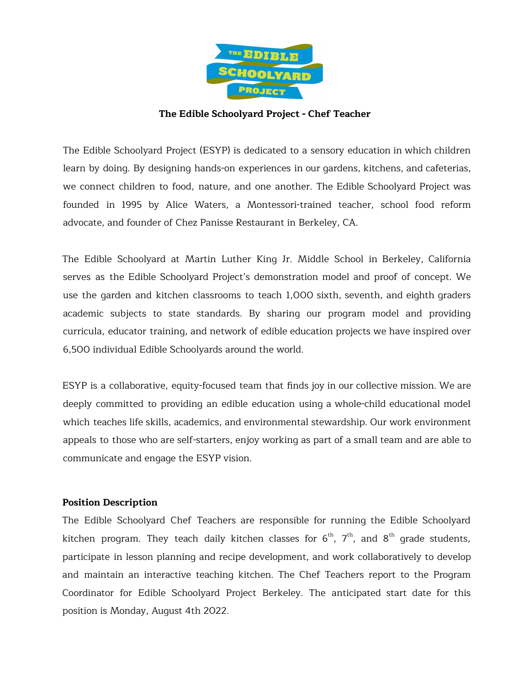

#### **The Edible Schoolyard Project - Chef Teacher**

The Edible Schoolyard Project (ESYP) is dedicated to a sensory education in which children learn by doing. By designing hands-on experiences in our gardens, kitchens, and cafeterias, we connect children to food, nature, and one another. The Edible Schoolyard Project was founded in 1995 by Alice Waters, a Montessori-trained teacher, school food reform advocate, and founder of Chez Panisse Restaurant in Berkeley, CA.

The Edible Schoolyard at Martin Luther King Jr. Middle School in Berkeley, California serves as the Edible Schoolyard Project's demonstration model and proof of concept. We use the garden and kitchen classrooms to teach 1,000 sixth, seventh, and eighth graders academic subjects to state standards. By sharing our program model and providing curricula, educator training, and network of edible education projects we have inspired over 6,500 individual Edible Schoolyards around the world.

ESYP is a collaborative, equity-focused team that finds joy in our collective mission. We are deeply committed to providing an edible education using a whole-child educational model which teaches life skills, academics, and environmental stewardship. Our work environment appeals to those who are self-starters, enjoy working as part of a small team and are able to communicate and engage the ESYP vision.

#### **Position Description**

The Edible Schoolyard Chef Teachers are responsible for running the Edible Schoolyard kitchen program. They teach daily kitchen classes for  $6^\text{th}$ ,  $7^\text{th}$ , and  $8^\text{th}$  grade students, participate in lesson planning and recipe development, and work collaboratively to develop and maintain an interactive teaching kitchen. The Chef Teachers report to the Program Coordinator for Edible Schoolyard Project Berkeley. The anticipated start date for this position is Monday, August 4th 2022.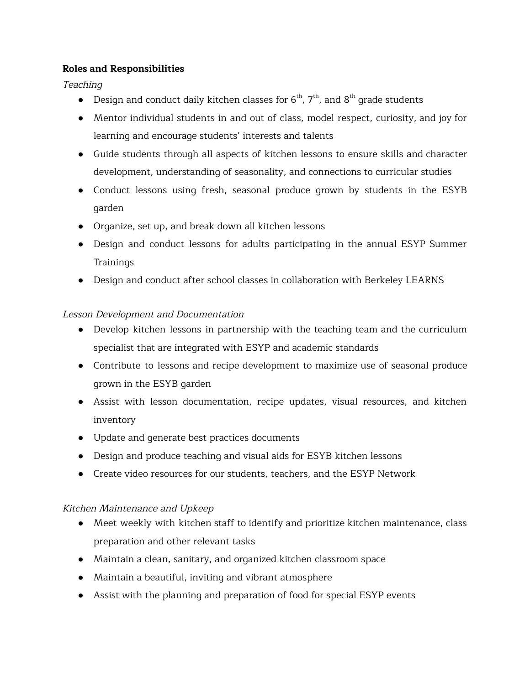#### **Roles and Responsibilities**

Teaching

- Design and conduct daily kitchen classes for  $6^{th}$ ,  $7^{th}$ , and  $8^{th}$  grade students
- Mentor individual students in and out of class, model respect, curiosity, and joy for learning and encourage students' interests and talents
- Guide students through all aspects of kitchen lessons to ensure skills and character development, understanding of seasonality, and connections to curricular studies
- Conduct lessons using fresh, seasonal produce grown by students in the ESYB garden
- Organize, set up, and break down all kitchen lessons
- Design and conduct lessons for adults participating in the annual ESYP Summer Trainings
- Design and conduct after school classes in collaboration with Berkeley LEARNS

# Lesson Development and Documentation

- Develop kitchen lessons in partnership with the teaching team and the curriculum specialist that are integrated with ESYP and academic standards
- Contribute to lessons and recipe development to maximize use of seasonal produce grown in the ESYB garden
- Assist with lesson documentation, recipe updates, visual resources, and kitchen inventory
- Update and generate best practices documents
- Design and produce teaching and visual aids for ESYB kitchen lessons
- Create video resources for our students, teachers, and the ESYP Network

# Kitchen Maintenance and Upkeep

- Meet weekly with kitchen staff to identify and prioritize kitchen maintenance, class preparation and other relevant tasks
- Maintain a clean, sanitary, and organized kitchen classroom space
- Maintain a beautiful, inviting and vibrant atmosphere
- Assist with the planning and preparation of food for special ESYP events